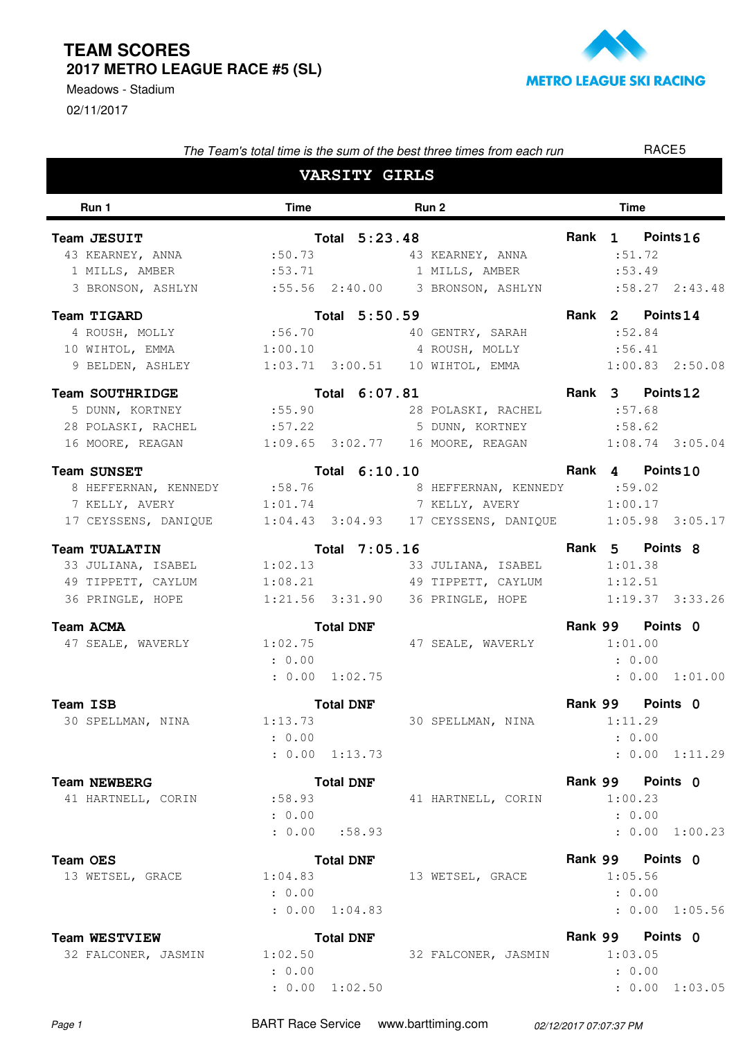02/11/2017 Meadows - Stadium



| The Team's total time is the sum of the best three times from each run    |                  |                  |  |                                                          |  | RACE5            |                |  |  |
|---------------------------------------------------------------------------|------------------|------------------|--|----------------------------------------------------------|--|------------------|----------------|--|--|
| <b>VARSITY GIRLS</b>                                                      |                  |                  |  |                                                          |  |                  |                |  |  |
| Run 1                                                                     | Time             | Run 2            |  |                                                          |  |                  |                |  |  |
| Team JESUIT                                                               |                  | Total 5:23.48    |  |                                                          |  | Rank 1 Points 16 |                |  |  |
| 43 KEARNEY, ANNA                                                          | :50.73           |                  |  | 43 KEARNEY, ANNA                                         |  | :51.72           |                |  |  |
| 1 MILLS, AMBER                                                            | : 53.71          |                  |  | 1 MILLS, AMBER :53.49                                    |  |                  |                |  |  |
| 3 BRONSON, ASHLYN :55.56 2:40.00 3 BRONSON, ASHLYN :58.27 2:43.48         |                  |                  |  |                                                          |  |                  |                |  |  |
| Team TIGARD                                                               |                  | Total 5:50.59    |  |                                                          |  | Rank 2 Points 14 |                |  |  |
| 4 ROUSH, MOLLY :56.70 40 GENTRY, SARAH                                    |                  |                  |  |                                                          |  | :52.84           |                |  |  |
| 10 WIHTOL, EMMA $1:00.10$ 4 ROUSH, MOLLY                                  |                  |                  |  |                                                          |  | :56.41           |                |  |  |
| 9 BELDEN, ASHLEY 1:03.71 3:00.51 10 WIHTOL, EMMA 1:00.83 2:50.08          |                  |                  |  |                                                          |  |                  |                |  |  |
| <b>Team SOUTHRIDGE</b>                                                    |                  | Total 6:07.81    |  |                                                          |  | Rank 3 Points 12 |                |  |  |
| 5 DUNN, KORTNEY                                                           |                  |                  |  | :55.90 28 POLASKI, RACHEL :57.68                         |  |                  |                |  |  |
| 28 POLASKI, RACHEL : 57.22 5 DUNN, KORTNEY : 58.62                        |                  |                  |  |                                                          |  |                  |                |  |  |
| 16 MOORE, REAGAN                                                          |                  |                  |  | $1:09.65$ $3:02.77$ 16 MOORE, REAGAN $1:08.74$ $3:05.04$ |  |                  |                |  |  |
| <b>Team SUNSET</b>                                                        |                  | Total 6:10.10    |  |                                                          |  | Rank 4 Points 10 |                |  |  |
| 8 HEFFERNAN, KENNEDY :58.76                                               |                  |                  |  | 8 HEFFERNAN, KENNEDY :59.02                              |  |                  |                |  |  |
| 7 KELLY, AVERY 1:01.74 7 KELLY, AVERY                                     |                  |                  |  |                                                          |  | 1:00.17          |                |  |  |
| 17 CEYSSENS, DANIQUE 1:04.43 3:04.93 17 CEYSSENS, DANIQUE 1:05.98 3:05.17 |                  |                  |  |                                                          |  |                  |                |  |  |
| <b>Team TUALATIN</b>                                                      |                  | Total 7:05.16    |  |                                                          |  | Rank 5 Points 8  |                |  |  |
| 33 JULIANA, ISABEL 1:02.13                                                |                  |                  |  | 33 JULIANA, ISABEL 1:01.38                               |  |                  |                |  |  |
| 49 TIPPETT, CAYLUM                                                        |                  |                  |  | $1:08.21$ 49 TIPPETT, CAYLUM $1:12.51$                   |  |                  |                |  |  |
| 36 PRINGLE, HOPE                                                          |                  |                  |  | 1:21.56 3:31.90 36 PRINGLE, HOPE 1:19.37 3:33.26         |  |                  |                |  |  |
| <b>Team ACMA</b>                                                          | <b>Total DNF</b> |                  |  |                                                          |  | Rank 99 Points 0 |                |  |  |
| 47 SEALE, WAVERLY 1:02.75                                                 |                  |                  |  | 47 SEALE, WAVERLY                                        |  | 1:01.00          |                |  |  |
|                                                                           | : 0.00           |                  |  |                                                          |  | : 0.00           |                |  |  |
|                                                                           | : 0.00 1:02.75   |                  |  |                                                          |  |                  | : 0.00 1:01.00 |  |  |
| Team ISB                                                                  |                  | <b>Total DNF</b> |  |                                                          |  | Rank 99 Points 0 |                |  |  |
| 30 SPELLMAN, NINA                                                         | 1:13.73          |                  |  | 30 SPELLMAN, NINA                                        |  | 1:11.29          |                |  |  |
|                                                                           | : 0.00           |                  |  |                                                          |  | : 0.00           |                |  |  |
|                                                                           | : 0.00 1:13.73   |                  |  |                                                          |  |                  | : 0.00 1:11.29 |  |  |
| <b>Team NEWBERG</b>                                                       |                  | <b>Total DNF</b> |  |                                                          |  | Rank 99 Points 0 |                |  |  |
| 41 HARTNELL, CORIN                                                        | :58.93           |                  |  | 41 HARTNELL, CORIN                                       |  | 1:00.23          |                |  |  |
|                                                                           | : 0.00           |                  |  |                                                          |  | : 0.00           |                |  |  |
|                                                                           | : 0.00 : 58.93   |                  |  |                                                          |  |                  | : 0.00 1:00.23 |  |  |
| Team OES                                                                  |                  | <b>Total DNF</b> |  |                                                          |  | Rank 99 Points 0 |                |  |  |
| 13 WETSEL, GRACE                                                          | 1:04.83          |                  |  | 13 WETSEL, GRACE                                         |  | 1:05.56          |                |  |  |
|                                                                           | : 0.00           |                  |  |                                                          |  | : 0.00           |                |  |  |
|                                                                           | : 0.00 1:04.83   |                  |  |                                                          |  |                  | : 0.00 1:05.56 |  |  |
| <b>Team WESTVIEW</b>                                                      |                  | <b>Total DNF</b> |  |                                                          |  | Rank 99 Points 0 |                |  |  |
| 32 FALCONER, JASMIN                                                       | 1:02.50          |                  |  | 32 FALCONER, JASMIN                                      |  | 1:03.05          |                |  |  |
|                                                                           | : 0.00           |                  |  |                                                          |  | : 0.00           |                |  |  |
|                                                                           | : 0.00 1:02.50   |                  |  |                                                          |  |                  | : 0.00 1:03.05 |  |  |

Page 1 BART Race Service www.barttiming.com 02/12/2017 07:07:37 PM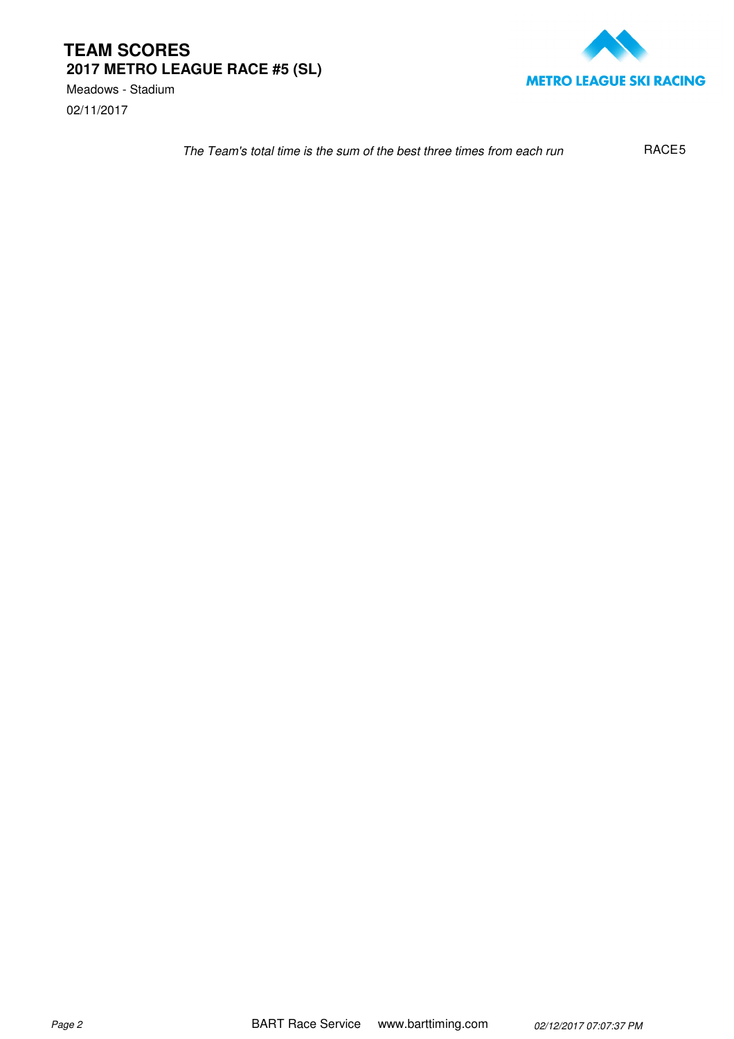02/11/2017 Meadows - Stadium



The Team's total time is the sum of the best three times from each run RACE<sub>5</sub>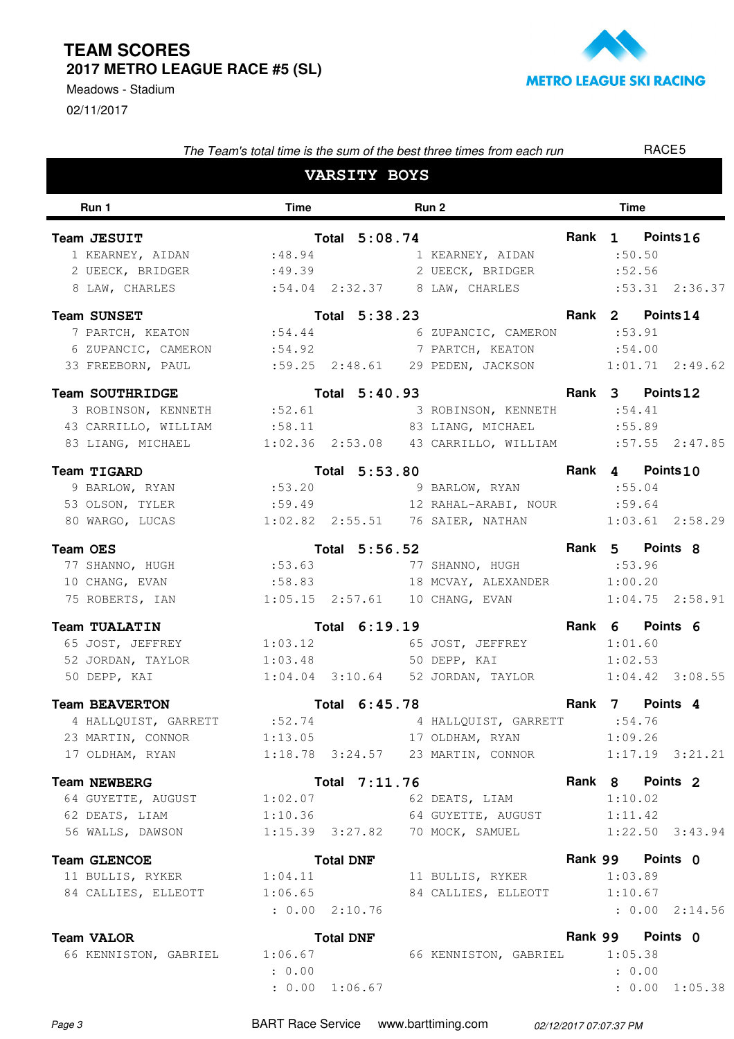02/11/2017 Meadows - Stadium



| The Team's total time is the sum of the best three times from each run                                                                                                                                                                                                                                           |                      |                     |  |                                                                                         |             | RACE5                                 |                     |  |  |
|------------------------------------------------------------------------------------------------------------------------------------------------------------------------------------------------------------------------------------------------------------------------------------------------------------------|----------------------|---------------------|--|-----------------------------------------------------------------------------------------|-------------|---------------------------------------|---------------------|--|--|
|                                                                                                                                                                                                                                                                                                                  |                      | <b>VARSITY BOYS</b> |  |                                                                                         |             |                                       |                     |  |  |
| Run 1                                                                                                                                                                                                                                                                                                            | <b>Time</b><br>Run 2 |                     |  |                                                                                         | <b>Time</b> |                                       |                     |  |  |
| Team JESUIT<br>1111 JESUII - 1012.00.73<br>1 KEARNEY, AIDAN :48.94 1 KEARNEY, AIDAN :50.50<br>2 UEECK, BRIDGER :49.39 2 UEECK, BRIDGER :52.56<br>8 LAW, CHARLES :54.04 2:32.37 8 LAW, CHARLES :53.31 2:36.37                                                                                                     |                      |                     |  | Total 5:08.74                                                                           |             | Rank 1 Points 16                      |                     |  |  |
| <b>am SUNSET</b><br><b>1 PARTCH, KEATON</b><br><b>1 PARTCH, KEATON</b><br><b>1 CALL 2 CALL 2 CALL 2 CAMERON</b><br><b>1 CALL 2 CAMERON</b><br><b>1 CALL 2 CAMERON</b><br><b>Team SUNSET</b><br>6 ZUPANCIC, CAMERON :54.92 7 PARTCH, KEATON<br>33 FREEBORN, PAUL :59.25 2:48.61 29 PEDEN, JACKSON 1:01.71 2:49.62 |                      |                     |  |                                                                                         |             | Rank 2 Points 14<br>:54.00            |                     |  |  |
| <b>Team SOUTHRIDGE</b><br>3 ROBINSON, KENNETH : 52.61 3 ROBINSON, KENNETH : 54.41<br>43 CARRILLO, WILLIAM :58.11 83 LIANG, MICHAEL :55.89<br>83 LIANG, MICHAEL 1:02.36 2:53.08 43 CARRILLO, WILLIAM :57.55 2:47.85                                                                                               |                      |                     |  | Total 5:40.93                                                                           |             | Rank 3 Points 12                      |                     |  |  |
| <b>Team TIGARD</b><br>53 OLSON, TYLER :59.49 12 RAHAL-ARABI, NOUR :59.64<br>80 WARGO, LUCAS                                                                                                                                                                                                                      |                      |                     |  | Total 5:53.80 Rank 4 Points10<br>1:02.82  2:55.51  76  SAIER, NATHAN   1:03.61  2:58.29 |             |                                       |                     |  |  |
| <b>Team OES</b><br><b>Pam OES</b><br><b>17</b> SHANNO, HUGH <b>1988 CONTRICES</b><br>17 SHANNO, HUGH 1998 CONTRICES 2013<br>75 ROBERTS, IAN 1:05.15 2:57.61 10 CHANG, EVAN 1:04.75 2:58.91                                                                                                                       |                      |                     |  | Total 5:56.52                                                                           |             | Rank 5 Points 8                       |                     |  |  |
| <b>Team TUALATIN</b><br>65 JOST, JEFFREY 1:03.12 65 JOST, JEFFREY 1:01.60<br>52 JORDAN, TAYLOR 1:03.48 50 DEPP, KAI                                                                                                                                                                                              |                      | Total 6:19.19       |  |                                                                                         |             | Rank 6 Points 6<br>1:02.53            |                     |  |  |
| <b>Team BEAVERTON</b><br>4 HALLQUIST, GARRETT :52.74<br>23 MARTIN, CONNOR 1:13.05 17 OLDHAM, RYAN 1:09.26<br>17 OLDHAM, RYAN 1:18.78 3:24.57 23 MARTIN, CONNOR 1:17.19 3:21.21                                                                                                                                   |                      |                     |  | Total 6:45.78<br>4 HALLQUIST, GARRETT :54.76                                            |             | Rank 7 Points 4                       |                     |  |  |
| <b>Team NEWBERG</b><br>64 GUYETTE, AUGUST 1:02.07 62 DEATS, LIAM<br>62 DEATS, LIAM<br>56 WALLS, DAWSON 1:15.39 3:27.82 70 MOCK, SAMUEL                                                                                                                                                                           |                      | Total 7:11.76       |  | 1:10.36 64 GUYETTE, AUGUST                                                              |             | Rank 8 Points 2<br>1:10.02<br>1:11.42 | $1:22.50$ $3:43.94$ |  |  |
| <b>Team GLENCOE</b><br>11 BULLIS, RYKER 1:04.11<br>84 CALLIES, ELLEOTT 1:06.65                                                                                                                                                                                                                                   | : 0.00 2:10.76       | <b>Total DNF</b>    |  | 11 BULLIS, RYKER<br>84 CALLIES, ELLEOTT 1:10.67                                         |             | Rank 99 Points 0<br>1:03.89           | : 0.00 2:14.56      |  |  |
| <b>Team VALOR</b><br>66 KENNISTON, GABRIEL 1:06.67                                                                                                                                                                                                                                                               | : 0.00               | <b>Total DNF</b>    |  | 66 KENNISTON, GABRIEL 1:05.38                                                           |             | Rank 99 Points 0<br>: 0.00            |                     |  |  |

 $: 0.00 1:06.67$ 

: 0.00 1:06.67 1:05.38